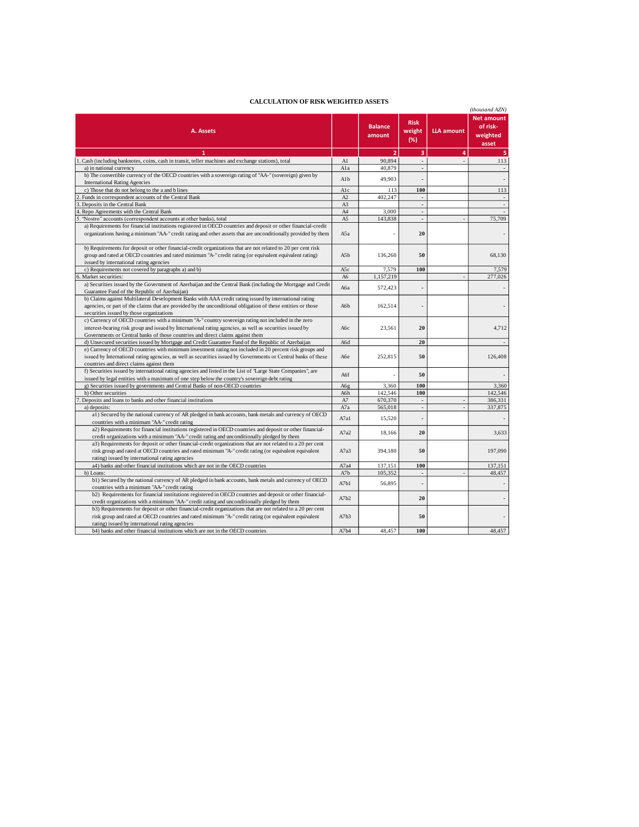## **CALCULATION OF RISK WEIGHTED ASSETS**

|                                                                                                                                                                                                         |      |                          |                              |                   | (thousand AZN)                                     |  |
|---------------------------------------------------------------------------------------------------------------------------------------------------------------------------------------------------------|------|--------------------------|------------------------------|-------------------|----------------------------------------------------|--|
| A. Assets                                                                                                                                                                                               |      | <b>Balance</b><br>amount | <b>Risk</b><br>weight<br>(%) | <b>LLA amount</b> | <b>Net amount</b><br>of risk-<br>weighted<br>asset |  |
| 1                                                                                                                                                                                                       |      | $\overline{2}$           | 3                            | 4                 | 5                                                  |  |
| 1. Cash (including banknotes, coins, cash in transit, teller machines and exchange stations), total                                                                                                     | A1   | 90,894                   |                              |                   | 113                                                |  |
| a) in national currency                                                                                                                                                                                 | A1a  | 40,879                   |                              |                   |                                                    |  |
| b) The convertible currency of the OECD countries with a sovereign rating of "AA-" (sovereign) given by<br><b>International Rating Agencies</b>                                                         | A1b  | 49,903                   |                              |                   |                                                    |  |
| c) Those that do not belong to the a and b lines                                                                                                                                                        | Alc  | 113                      | 100                          |                   | 113                                                |  |
| Funds in correspondent accounts of the Central Bank                                                                                                                                                     | A2   | 402,247                  | $\overline{a}$               |                   |                                                    |  |
| Deposits in the Central Bank                                                                                                                                                                            | A3   |                          | $\blacksquare$               |                   |                                                    |  |
| Repo Agreements with the Central Bank                                                                                                                                                                   | A4   | 3,000                    | ÷.                           |                   |                                                    |  |
| "Nostro" accounts (correspondent accounts at other banks), total                                                                                                                                        | A5   | 143,838                  | ÷,                           |                   | 75,709                                             |  |
| a) Requirements for financial institutions registered in OECD countries and deposit or other financial-credit                                                                                           |      |                          |                              |                   |                                                    |  |
| organizations having a minimum "AA-" credit rating and other assets that are unconditionally provided by them                                                                                           | A5a  |                          | 20                           |                   |                                                    |  |
| b) Requirements for deposit or other financial-credit organizations that are not related to 20 per cent risk                                                                                            |      |                          |                              |                   |                                                    |  |
| group and rated at OECD countries and rated minimum "A-" credit rating (or equivalent equivalent rating)                                                                                                | A5b  | 136,260                  | 50                           |                   | 68.130                                             |  |
| issued by international rating agencies                                                                                                                                                                 |      |                          |                              |                   |                                                    |  |
| c) Requirements not covered by paragraphs a) and b)                                                                                                                                                     | A5c  | 7,579                    | 100                          |                   | 7,579                                              |  |
| Market securities:                                                                                                                                                                                      | A6   | 1,157,219                |                              |                   | 277,026                                            |  |
| a) Securities issued by the Government of Azerbaijan and the Central Bank (including the Mortgage and Credit<br>Guarantee Fund of the Republic of Azerbaijan)                                           | Аба  | 572,423                  |                              |                   |                                                    |  |
| b) Claims against Multilateral Development Banks with AAA credit rating issued by international rating                                                                                                  |      |                          |                              |                   |                                                    |  |
| agencies, or part of the claims that are provided by the unconditional obligation of these entities or those                                                                                            | A6b  | 162,514                  |                              |                   |                                                    |  |
| securities issued by those organizations                                                                                                                                                                |      |                          |                              |                   |                                                    |  |
| c) Currency of OECD countries with a minimum "A-" country sovereign rating not included in the zero                                                                                                     |      |                          |                              |                   |                                                    |  |
| interest-bearing risk group and issued by International rating agencies, as well as securities issued by                                                                                                | Абс  | 23,561                   | 20                           |                   | 4,712                                              |  |
| Governments or Central banks of those countries and direct claims against them                                                                                                                          |      |                          |                              |                   |                                                    |  |
| d) Unsecured securities issued by Mortgage and Credit Guarantee Fund of the Republic of Azerbaijan                                                                                                      | A6d  |                          | 20                           |                   |                                                    |  |
| e) Currency of OECD countries with minimum investment rating not included in 20 percent risk groups and                                                                                                 |      |                          |                              |                   |                                                    |  |
| issued by International rating agencies, as well as securities issued by Governments or Central banks of these                                                                                          | Абе  | 252,815                  | 50                           |                   | 126,408                                            |  |
| countries and direct claims against them                                                                                                                                                                |      |                          |                              |                   |                                                    |  |
| f) Securities issued by international rating agencies and listed in the List of "Large State Companies", are                                                                                            | A6f  |                          | 50                           |                   |                                                    |  |
| issued by legal entities with a maximum of one step below the country's sovereign debt rating                                                                                                           |      |                          |                              |                   |                                                    |  |
| g) Securities issued by governments and Central Banks of non-OECD countries                                                                                                                             | A6g  | 3,360                    | 100                          |                   | 3,360                                              |  |
| h) Other securities                                                                                                                                                                                     | A6h  | 142,546                  | 100                          |                   | 142,546                                            |  |
| Deposits and loans to banks and other financial institutions                                                                                                                                            | A7   | 670,370                  | ÷,                           |                   | 386,331                                            |  |
| a) deposits:                                                                                                                                                                                            | A7a  | 565,018                  | $\blacksquare$               |                   | 337,875                                            |  |
| a1) Secured by the national currency of AR pledged in bank accounts, bank metals and currency of OECD<br>countries with a minimum "AA-" credit rating                                                   | A7a1 | 15,520                   |                              |                   |                                                    |  |
| a2) Requirements for financial institutions registered in OECD countries and deposit or other financial-                                                                                                |      |                          |                              |                   |                                                    |  |
| credit organizations with a minimum "AA-" credit rating and unconditionally pledged by them                                                                                                             | A7a2 | 18,166                   | 20                           |                   | 3,633                                              |  |
| a3) Requirements for deposit or other financial-credit organizations that are not related to a 20 per cent                                                                                              |      |                          |                              |                   |                                                    |  |
| risk group and rated at OECD countries and rated minimum "A-" credit rating (or equivalent equivalent                                                                                                   | A7a3 | 394,180                  | 50                           |                   | 197,090                                            |  |
| rating) issued by international rating agencies                                                                                                                                                         |      |                          |                              |                   |                                                    |  |
| a4) banks and other financial institutions which are not in the OECD countries                                                                                                                          | A7a4 | 137,151                  | 100                          |                   | 137,151                                            |  |
| b) Loans:                                                                                                                                                                                               | A7b  | 105,352                  | $\overline{\phantom{a}}$     |                   | 48,457                                             |  |
| b1) Secured by the national currency of AR pledged in bank accounts, bank metals and currency of OECD                                                                                                   | A7b1 | 56,895                   |                              |                   |                                                    |  |
| countries with a minimum "AA-" credit rating                                                                                                                                                            |      |                          |                              |                   |                                                    |  |
| b2) Requirements for financial institutions registered in OECD countries and deposit or other financial-<br>credit organizations with a minimum "AA-" credit rating and unconditionally pledged by them | A7b2 |                          | 20                           |                   |                                                    |  |
| b3) Requirements for deposit or other financial-credit organizations that are not related to a 20 per cent                                                                                              |      |                          |                              |                   |                                                    |  |
| risk group and rated at OECD countries and rated minimum "A-" credit rating (or equivalent equivalent                                                                                                   | A7b3 |                          | 50                           |                   |                                                    |  |
| rating) issued by international rating agencies                                                                                                                                                         |      |                          |                              |                   |                                                    |  |
| b4) banks and other financial institutions which are not in the OECD countries                                                                                                                          | A7b4 | 48.457                   | 100                          |                   | 48,457                                             |  |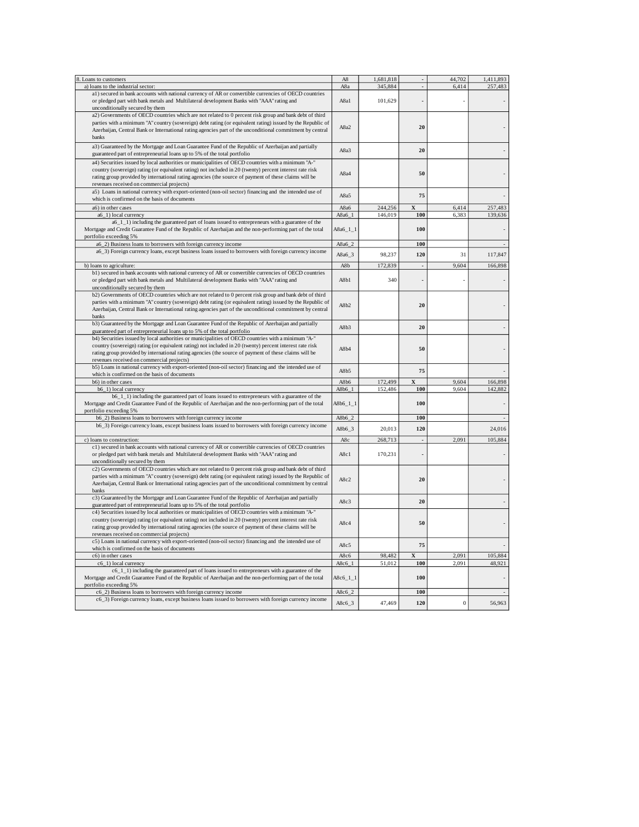| 8. Loans to customers                                                                                                                                                                                                                                                                                                                                                | A8          | 1,681,818 |                          | 44,702           | 1,411,893 |
|----------------------------------------------------------------------------------------------------------------------------------------------------------------------------------------------------------------------------------------------------------------------------------------------------------------------------------------------------------------------|-------------|-----------|--------------------------|------------------|-----------|
| a) loans to the industrial sector:                                                                                                                                                                                                                                                                                                                                   | A8a         | 345,884   |                          | 6,414            | 257,483   |
| a1) secured in bank accounts with national currency of AR or convertible currencies of OECD countries<br>or pledged part with bank metals and Multilateral development Banks with "AAA" rating and                                                                                                                                                                   | A8a1        | 101,629   |                          |                  |           |
| unconditionally secured by them                                                                                                                                                                                                                                                                                                                                      |             |           |                          |                  |           |
| a2) Governments of OECD countries which are not related to 0 percent risk group and bank debt of third<br>parties with a minimum "A" country (sovereign) debt rating (or equivalent rating) issued by the Republic of<br>Azerbaijan, Central Bank or International rating agencies part of the unconditional commitment by central<br>banks                          | A8a2        |           | 20                       |                  |           |
| a3) Guaranteed by the Mortgage and Loan Guarantee Fund of the Republic of Azerbaijan and partially<br>guaranteed part of entrepreneurial loans up to 5% of the total portfolio                                                                                                                                                                                       | A8a3        |           | 20                       |                  |           |
| a4) Securities issued by local authorities or municipalities of OECD countries with a minimum "A-"<br>country (sovereign) rating (or equivalent rating) not included in 20 (twenty) percent interest rate risk<br>rating group provided by international rating agencies (the source of payment of these claims will be<br>revenues received on commercial projects) | A8a4        |           | 50                       |                  |           |
| a5) Loans in national currency with export-oriented (non-oil sector) financing and the intended use of<br>which is confirmed on the basis of documents                                                                                                                                                                                                               | A8a5        |           | 75                       |                  |           |
| a6) in other cases                                                                                                                                                                                                                                                                                                                                                   | A8a6        | 244,256   | X                        | 6,414            | 257,483   |
| a6_1) local currency                                                                                                                                                                                                                                                                                                                                                 | $A8a6_1$    | 146,019   | 100                      | 6,383            | 139,636   |
| a6_1_1) including the guaranteed part of loans issued to entrepreneurs with a guarantee of the<br>Mortgage and Credit Guarantee Fund of the Republic of Azerbaijan and the non-performing part of the total<br>portfolio exceeding 5%                                                                                                                                | A8a6_1_1    |           | 100                      |                  |           |
| a6_2) Business loans to borrowers with foreign currency income                                                                                                                                                                                                                                                                                                       | A8a6_2      |           | 100                      |                  |           |
| a6_3) Foreign currency loans, except business loans issued to borrowers with foreign currency income                                                                                                                                                                                                                                                                 | A8a6_3      | 98,237    | 120                      | 31               | 117,847   |
| b) loans to agriculture:                                                                                                                                                                                                                                                                                                                                             | A8b         | 172,839   |                          | 9,604            | 166,898   |
| b1) secured in bank accounts with national currency of AR or convertible currencies of OECD countries<br>or pledged part with bank metals and Multilateral development Banks with "AAA" rating and<br>unconditionally secured by them                                                                                                                                | A8b1        | 340       |                          |                  |           |
| b2) Governments of OECD countries which are not related to 0 percent risk group and bank debt of third<br>parties with a minimum "A" country (sovereign) debt rating (or equivalent rating) issued by the Republic of<br>Azerbaijan, Central Bank or International rating agencies part of the unconditional commitment by central<br>banks                          | A8b2        |           | 20                       |                  |           |
| b3) Guaranteed by the Mortgage and Loan Guarantee Fund of the Republic of Azerbaijan and partially<br>guaranteed part of entrepreneurial loans up to 5% of the total portfolio                                                                                                                                                                                       | A8b3        |           | 20                       |                  |           |
| b4) Securities issued by local authorities or municipalities of OECD countries with a minimum "A-"<br>country (sovereign) rating (or equivalent rating) not included in 20 (twenty) percent interest rate risk<br>rating group provided by international rating agencies (the source of payment of these claims will be<br>revenues received on commercial projects) | A8b4        |           | 50                       |                  |           |
| b5) Loans in national currency with export-oriented (non-oil sector) financing and the intended use of<br>which is confirmed on the basis of documents                                                                                                                                                                                                               | A8b5        |           | 75                       |                  |           |
| b6) in other cases                                                                                                                                                                                                                                                                                                                                                   | A8b6        | 172,499   | X                        | 9,604            | 166,898   |
| b6_1) local currency                                                                                                                                                                                                                                                                                                                                                 | A8b6_1      | 152,486   | 100                      | 9,604            | 142,882   |
| b6_1_1) including the guaranteed part of loans issued to entrepreneurs with a guarantee of the<br>Mortgage and Credit Guarantee Fund of the Republic of Azerbaijan and the non-performing part of the total<br>portfolio exceeding 5%                                                                                                                                | $A8b6_11_1$ |           | 100                      |                  |           |
| b6_2) Business loans to borrowers with foreign currency income                                                                                                                                                                                                                                                                                                       | $A8b6_2$    |           | 100                      |                  |           |
| b6_3) Foreign currency loans, except business loans issued to borrowers with foreign currency income                                                                                                                                                                                                                                                                 | A8b6_3      | 20,013    | 120                      |                  | 24,016    |
| c) loans to construction:                                                                                                                                                                                                                                                                                                                                            | A8c         | 268,713   | $\overline{\phantom{a}}$ | 2,091            | 105,884   |
| c1) secured in bank accounts with national currency of AR or convertible currencies of OECD countries<br>or pledged part with bank metals and Multilateral development Banks with "AAA" rating and<br>unconditionally secured by them                                                                                                                                | A8c1        | 170,231   |                          |                  |           |
| c2) Governments of OECD countries which are not related to 0 percent risk group and bank debt of third<br>parties with a minimum "A" country (sovereign) debt rating (or equivalent rating) issued by the Republic of<br>Azerbaijan, Central Bank or International rating agencies part of the unconditional commitment by central<br>banks                          | A8c2        |           | 20                       |                  |           |
| c3) Guaranteed by the Mortgage and Loan Guarantee Fund of the Republic of Azerbaijan and partially<br>guaranteed part of entrepreneurial loans up to 5% of the total portfolio                                                                                                                                                                                       | A8c3        |           | 20                       |                  |           |
| c4) Securities issued by local authorities or municipalities of OECD countries with a minimum "A-"<br>country (sovereign) rating (or equivalent rating) not included in 20 (twenty) percent interest rate risk<br>rating group provided by international rating agencies (the source of payment of these claims will be<br>revenues received on commercial projects) | A8c4        |           | 50                       |                  |           |
| c5) Loans in national currency with export-oriented (non-oil sector) financing and the intended use of<br>which is confirmed on the basis of documents                                                                                                                                                                                                               | A8c5        |           | 75                       |                  |           |
| c6) in other cases                                                                                                                                                                                                                                                                                                                                                   | A8c6        | 98,482    | X                        | 2,091            | 105,884   |
| c6_1) local currency                                                                                                                                                                                                                                                                                                                                                 | A8c6_1      | 51,012    | 100                      | 2.091            | 48,921    |
| c6_1_1) including the guaranteed part of loans issued to entrepreneurs with a guarantee of the<br>Mortgage and Credit Guarantee Fund of the Republic of Azerbaijan and the non-performing part of the total<br>portfolio exceeding 5%                                                                                                                                | $A8c6_11_1$ |           | 100                      |                  |           |
| c6_2) Business loans to borrowers with foreign currency income                                                                                                                                                                                                                                                                                                       | A8c6_2      |           | 100                      |                  |           |
| c6_3) Foreign currency loans, except business loans issued to borrowers with foreign currency income                                                                                                                                                                                                                                                                 | A8c6_3      | 47,469    | 120                      | $\boldsymbol{0}$ | 56,963    |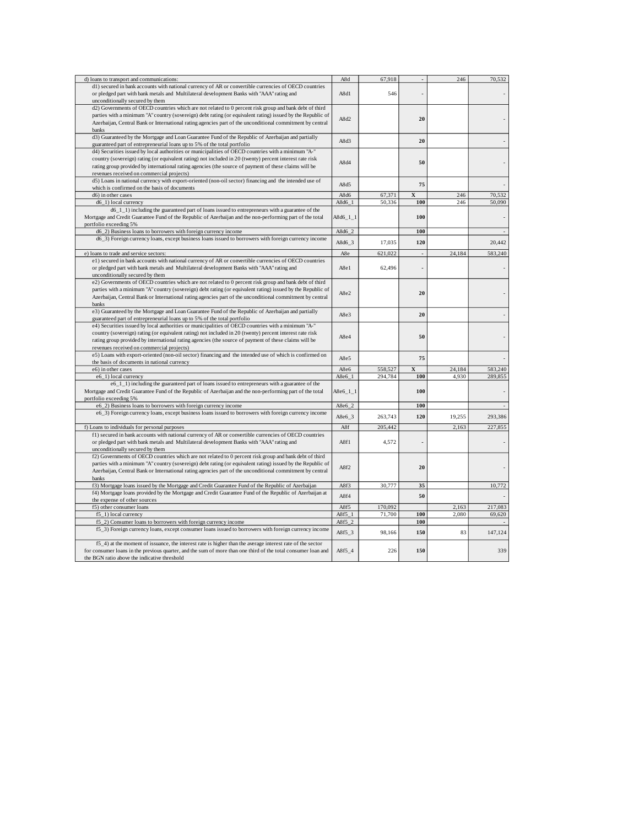| d) loans to transport and communications:                                                                                                                                                          | A8d         | 67,918  |             | 246    | 70,532  |
|----------------------------------------------------------------------------------------------------------------------------------------------------------------------------------------------------|-------------|---------|-------------|--------|---------|
|                                                                                                                                                                                                    |             |         |             |        |         |
| d1) secured in bank accounts with national currency of AR or convertible currencies of OECD countries<br>or pledged part with bank metals and Multilateral development Banks with "AAA" rating and | A8d1        | 546     |             |        |         |
| unconditionally secured by them                                                                                                                                                                    |             |         |             |        |         |
| d2) Governments of OECD countries which are not related to 0 percent risk group and bank debt of third                                                                                             |             |         |             |        |         |
| parties with a minimum "A" country (sovereign) debt rating (or equivalent rating) issued by the Republic of                                                                                        | A8d2        |         | 20          |        |         |
| Azerbaijan, Central Bank or International rating agencies part of the unconditional commitment by central                                                                                          |             |         |             |        |         |
| banks                                                                                                                                                                                              |             |         |             |        |         |
| d3) Guaranteed by the Mortgage and Loan Guarantee Fund of the Republic of Azerbaijan and partially                                                                                                 |             |         |             |        |         |
| guaranteed part of entrepreneurial loans up to 5% of the total portfolio                                                                                                                           | A8d3        |         | 20          |        |         |
| d4) Securities issued by local authorities or municipalities of OECD countries with a minimum "A-"                                                                                                 |             |         |             |        |         |
| country (sovereign) rating (or equivalent rating) not included in 20 (twenty) percent interest rate risk                                                                                           |             |         |             |        |         |
|                                                                                                                                                                                                    | A8d4        |         | 50          |        |         |
| rating group provided by international rating agencies (the source of payment of these claims will be                                                                                              |             |         |             |        |         |
| revenues received on commercial projects)                                                                                                                                                          |             |         |             |        |         |
| d5) Loans in national currency with export-oriented (non-oil sector) financing and the intended use of                                                                                             | A8d5        |         | 75          |        |         |
| which is confirmed on the basis of documents                                                                                                                                                       |             |         |             |        |         |
| d6) in other cases                                                                                                                                                                                 | A8d6        | 67,371  | $\mathbf X$ | 246    | 70,532  |
| d6_1) local currency                                                                                                                                                                               | A8d6 1      | 50,336  | 100         | 246    | 50,090  |
| d6_1_1) including the guaranteed part of loans issued to entrepreneurs with a guarantee of the                                                                                                     |             |         |             |        |         |
| Mortgage and Credit Guarantee Fund of the Republic of Azerbaijan and the non-performing part of the total                                                                                          | $A8d6_11_1$ |         | 100         |        |         |
| portfolio exceeding 5%                                                                                                                                                                             |             |         |             |        |         |
| d6_2) Business loans to borrowers with foreign currency income                                                                                                                                     | $A8d6_2$    |         | 100         |        |         |
|                                                                                                                                                                                                    |             |         |             |        |         |
| d6_3) Foreign currency loans, except business loans issued to borrowers with foreign currency income                                                                                               | A8d6_3      | 17,035  | 120         |        | 20,442  |
|                                                                                                                                                                                                    |             |         |             |        |         |
| e) loans to trade and service sectors:                                                                                                                                                             | A8e         | 621,022 | $\sim$      | 24,184 | 583,240 |
| e1) secured in bank accounts with national currency of AR or convertible currencies of OECD countries                                                                                              |             |         |             |        |         |
| or pledged part with bank metals and Multilateral development Banks with "AAA" rating and                                                                                                          | A8e1        | 62,496  |             |        |         |
| unconditionally secured by them                                                                                                                                                                    |             |         |             |        |         |
| e2) Governments of OECD countries which are not related to 0 percent risk group and bank debt of third                                                                                             |             |         |             |        |         |
| parties with a minimum "A" country (sovereign) debt rating (or equivalent rating) issued by the Republic of                                                                                        |             |         |             |        |         |
| Azerbaijan, Central Bank or International rating agencies part of the unconditional commitment by central                                                                                          | A8e2        |         | 20          |        |         |
| banks                                                                                                                                                                                              |             |         |             |        |         |
|                                                                                                                                                                                                    |             |         |             |        |         |
| e3) Guaranteed by the Mortgage and Loan Guarantee Fund of the Republic of Azerbaijan and partially                                                                                                 | A8e3        |         | 20          |        |         |
| guaranteed part of entrepreneurial loans up to 5% of the total portfolio                                                                                                                           |             |         |             |        |         |
| e4) Securities issued by local authorities or municipalities of OECD countries with a minimum "A-"                                                                                                 |             |         |             |        |         |
| country (sovereign) rating (or equivalent rating) not included in 20 (twenty) percent interest rate risk                                                                                           | A8e4        |         | 50          |        |         |
| rating group provided by international rating agencies (the source of payment of these claims will be                                                                                              |             |         |             |        |         |
| revenues received on commercial projects)                                                                                                                                                          |             |         |             |        |         |
| e5) Loans with export-oriented (non-oil sector) financing and the intended use of which is confirmed on                                                                                            |             |         |             |        |         |
| the basis of documents in national currency                                                                                                                                                        | A8e5        |         | 75          |        |         |
| e6) in other cases                                                                                                                                                                                 | A8e6        | 558,527 | $\mathbf x$ | 24,184 | 583,240 |
| e6_1) local currency                                                                                                                                                                               | A8e6_1      | 294,784 | 100         | 4,930  | 289,855 |
|                                                                                                                                                                                                    |             |         |             |        |         |
| e6_1_1) including the guaranteed part of loans issued to entrepreneurs with a guarantee of the                                                                                                     |             |         |             |        |         |
| Mortgage and Credit Guarantee Fund of the Republic of Azerbaijan and the non-performing part of the total                                                                                          | $A8e6_11_1$ |         | 100         |        |         |
| portfolio exceeding 5%                                                                                                                                                                             |             |         |             |        |         |
| e6_2) Business loans to borrowers with foreign currency income                                                                                                                                     | A8e6_2      |         | 100         |        |         |
| e6_3) Foreign currency loans, except business loans issued to borrowers with foreign currency income                                                                                               | A8e6_3      | 263,743 | 120         | 19,255 | 293,386 |
|                                                                                                                                                                                                    |             |         |             |        |         |
| f) Loans to individuals for personal purposes                                                                                                                                                      | A8f         | 205,442 |             | 2,163  | 227,855 |
| f1) secured in bank accounts with national currency of AR or convertible currencies of OECD countries                                                                                              |             |         |             |        |         |
| or pledged part with bank metals and Multilateral development Banks with "AAA" rating and                                                                                                          | A8f1        | 4,572   |             |        |         |
| unconditionally secured by them                                                                                                                                                                    |             |         |             |        |         |
| f2) Governments of OECD countries which are not related to 0 percent risk group and bank debt of third                                                                                             |             |         |             |        |         |
| parties with a minimum "A" country (sovereign) debt rating (or equivalent rating) issued by the Republic of                                                                                        |             |         |             |        |         |
|                                                                                                                                                                                                    | A8f2        |         | 20          |        |         |
| Azerbaijan, Central Bank or International rating agencies part of the unconditional commitment by central                                                                                          |             |         |             |        |         |
| banks                                                                                                                                                                                              |             |         |             |        |         |
| f3) Mortgage loans issued by the Mortgage and Credit Guarantee Fund of the Republic of Azerbaijan                                                                                                  | A8f3        | 30,777  | 35          |        | 10,772  |
| f4) Mortgage loans provided by the Mortgage and Credit Guarantee Fund of the Republic of Azerbaijan at                                                                                             | A8f4        |         | 50          |        |         |
| the expense of other sources                                                                                                                                                                       |             |         |             |        |         |
| f5) other consumer loans                                                                                                                                                                           | A8f5        | 170,092 |             | 2,163  | 217,083 |
| f5_1) local currency                                                                                                                                                                               | A8f5 1      | 71,700  | 100         | 2,080  | 69,620  |
| f5_2) Consumer loans to borrowers with foreign currency income                                                                                                                                     | $A8f5_2$    |         | 100         |        |         |
| f5_3) Foreign currency loans, except consumer loans issued to borrowers with foreign currency income                                                                                               |             |         |             |        |         |
|                                                                                                                                                                                                    | $A8f5_3$    | 98,166  | 150         | 83     | 147,124 |
| f5_4) at the moment of issuance, the interest rate is higher than the average interest rate of the sector                                                                                          |             |         |             |        |         |
| for consumer loans in the previous quarter, and the sum of more than one third of the total consumer loan and                                                                                      | A8f5_4      | 226     | 150         |        | 339     |
| the BGN ratio above the indicative threshold                                                                                                                                                       |             |         |             |        |         |
|                                                                                                                                                                                                    |             |         |             |        |         |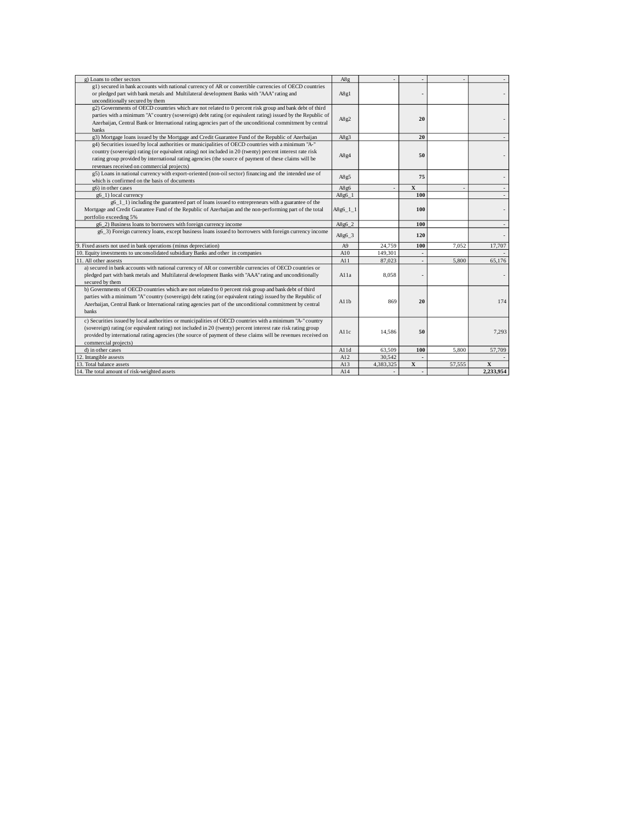| g) Loans to other sectors                                                                                     | A8g              |           |             |        |             |
|---------------------------------------------------------------------------------------------------------------|------------------|-----------|-------------|--------|-------------|
| g1) secured in bank accounts with national currency of AR or convertible currencies of OECD countries         |                  |           |             |        |             |
| or pledged part with bank metals and Multilateral development Banks with "AAA" rating and                     | A8g1             |           |             |        |             |
| unconditionally secured by them                                                                               |                  |           |             |        |             |
| g2) Governments of OECD countries which are not related to 0 percent risk group and bank debt of third        |                  |           |             |        |             |
| parties with a minimum "A" country (sovereign) debt rating (or equivalent rating) issued by the Republic of   |                  |           |             |        |             |
| Azerbaijan, Central Bank or International rating agencies part of the unconditional commitment by central     | A8g2             |           | 20          |        |             |
| <b>banks</b>                                                                                                  |                  |           |             |        |             |
| g3) Mortgage loans issued by the Mortgage and Credit Guarantee Fund of the Republic of Azerbaijan             | A8g3             |           | 20          |        |             |
| g4) Securities issued by local authorities or municipalities of OECD countries with a minimum "A-"            |                  |           |             |        |             |
| country (sovereign) rating (or equivalent rating) not included in 20 (twenty) percent interest rate risk      |                  |           |             |        |             |
| rating group provided by international rating agencies (the source of payment of these claims will be         | A8g4             |           | 50          |        |             |
| revenues received on commercial projects)                                                                     |                  |           |             |        |             |
| g5) Loans in national currency with export-oriented (non-oil sector) financing and the intended use of        |                  |           |             |        |             |
| which is confirmed on the basis of documents                                                                  | A8g5             |           | 75          |        |             |
| g6) in other cases                                                                                            | A8g6             |           | $\mathbf X$ |        |             |
| g6_1) local currency                                                                                          | $A8g6_1$         |           | 100         |        |             |
| $g6_11_1$ ) including the guaranteed part of loans issued to entrepreneurs with a guarantee of the            |                  |           |             |        |             |
| Mortgage and Credit Guarantee Fund of the Republic of Azerbaijan and the non-performing part of the total     | $A8g6_11_1$      |           | 100         |        |             |
| portfolio exceeding 5%                                                                                        |                  |           |             |        |             |
| g6 2) Business loans to borrowers with foreign currency income                                                | A8g6_2           |           | 100         |        |             |
| g6_3) Foreign currency loans, except business loans issued to borrowers with foreign currency income          |                  |           |             |        |             |
|                                                                                                               | A8g6 3           |           | 120         |        |             |
| 9. Fixed assets not used in bank operations (minus depreciation)                                              | A <sub>9</sub>   | 24,759    | 100         | 7.052  | 17,707      |
| 10. Equity investments to unconsolidated subsidiary Banks and other in companies                              | A10              | 149,301   |             |        |             |
| 11. All other assests                                                                                         | A11              | 87,023    |             | 5,800  | 65,176      |
| a) secured in bank accounts with national currency of AR or convertible currencies of OECD countries or       |                  |           |             |        |             |
| pledged part with bank metals and Multilateral development Banks with "AAA" rating and unconditionally        | Al <sub>1a</sub> | 8,058     |             |        |             |
| secured by them                                                                                               |                  |           |             |        |             |
| b) Governments of OECD countries which are not related to 0 percent risk group and bank debt of third         |                  |           |             |        |             |
| parties with a minimum "A" country (sovereign) debt rating (or equivalent rating) issued by the Republic of   |                  |           |             |        |             |
| Azerbaijan, Central Bank or International rating agencies part of the unconditional commitment by central     | A11b             | 869       | 20          |        | 174         |
| <b>banks</b>                                                                                                  |                  |           |             |        |             |
| c) Securities issued by local authorities or municipalities of OECD countries with a minimum "A-" country     |                  |           |             |        |             |
| (sovereign) rating (or equivalent rating) not included in 20 (twenty) percent interest rate risk rating group |                  |           |             |        |             |
| provided by international rating agencies (the source of payment of these claims will be revenues received on | A11c             | 14.586    | 50          |        | 7,293       |
| commercial projects)                                                                                          |                  |           |             |        |             |
| d) in other cases                                                                                             | A11d             | 63.509    | 100         | 5,800  | 57,709      |
| 12. Intangible assests                                                                                        | A12              | 30,542    |             |        |             |
| 13. Total balance assets                                                                                      | A13              | 4,383,325 | $\mathbf x$ | 57,555 | $\mathbf x$ |
| 14. The total amount of risk-weighted assets                                                                  | A14              |           |             |        | 2,233,954   |
|                                                                                                               |                  |           |             |        |             |